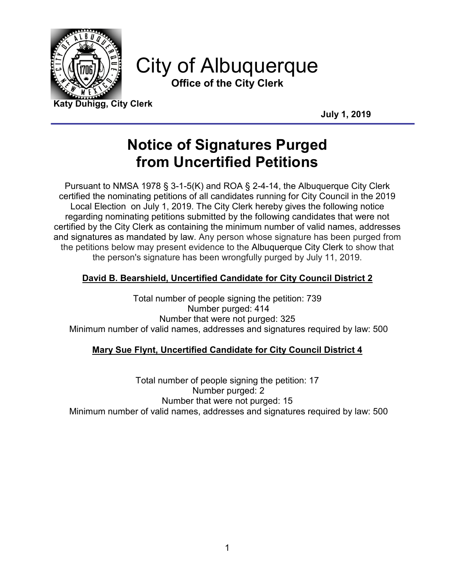

City of Albuquerque **Office of the City Clerk**

**Katy Duhigg, City Clerk**

**July 1, 2019**

# **Notice of Signatures Purged from Uncertified Petitions**

Pursuant to NMSA 1978 § 3-1-5(K) and ROA § 2-4-14, the Albuquerque City Clerk certified the nominating petitions of all candidates running for City Council in the 2019 Local Election on July 1, 2019. The City Clerk hereby gives the following notice regarding nominating petitions submitted by the following candidates that were not certified by the City Clerk as containing the minimum number of valid names, addresses and signatures as mandated by law. Any person whose signature has been purged from the petitions below may present evidence to the Albuquerque City Clerk to show that the person's signature has been wrongfully purged by July 11, 2019.

## **David B. Bearshield, Uncertified Candidate for City Council District 2**

Total number of people signing the petition: 739 Number purged: 414 Number that were not purged: 325 Minimum number of valid names, addresses and signatures required by law: 500

## **Mary Sue Flynt, Uncertified Candidate for City Council District 4**

Total number of people signing the petition: 17 Number purged: 2 Number that were not purged: 15 Minimum number of valid names, addresses and signatures required by law: 500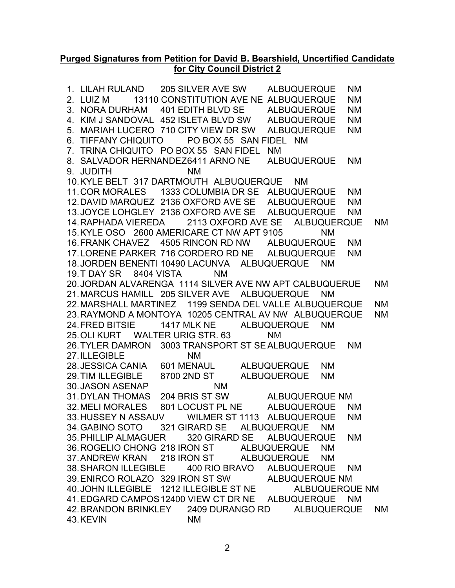### **Purged Signatures from Petition for David B. Bearshield, Uncertified Candidate for City Council District 2**

1. LILAH RULAND 205 SILVER AVE SW ALBUQUERQUE NM 2. LUIZ M 13110 CONSTITUTION AVE NE ALBUQUERQUE NM 3. NORA DURHAM 401 EDITH BLVD SE ALBUQUERQUE NM 4. KIM J SANDOVAL 452 ISLETA BLVD SW ALBUQUERQUE NM 5. MARIAH LUCERO 710 CITY VIEW DR SW ALBUQUERQUE NM 6. TIFFANY CHIQUITO PO BOX 55 SAN FIDEL NM 7. TRINA CHIQUITO PO BOX 55 SAN FIDEL NM 8. SALVADOR HERNANDEZ6411 ARNO NE ALBUQUERQUE NM 9. JUDITH NM 10.KYLE BELT 317 DARTMOUTH ALBUQUERQUE NM 11.COR MORALES 1333 COLUMBIA DR SE ALBUQUERQUE NM 12.DAVID MARQUEZ 2136 OXFORD AVE SE ALBUQUERQUE NM 13.JOYCE LOHGLEY 2136 OXFORD AVE SE ALBUQUERQUE NM 14.RAPHADA VIEREDA 2113 OXFORD AVE SE ALBUQUERQUE NM 15.KYLE OSO 2600 AMERICARE CT NW APT 9105 NM 16.FRANK CHAVEZ 4505 RINCON RD NW ALBUQUERQUE NM 17.LORENE PARKER 716 CORDERO RD NE ALBUQUERQUE NM 18.JORDEN BENENTI 10490 LACUNVA ALBUQUERQUE NM 19.T DAY SR 8404 VISTA NM 20.JORDAN ALVARENGA 1114 SILVER AVE NW APT CALBUQUERUE NM 21.MARCUS HAMILL 205 SILVER AVE ALBUQUERQUE NM 22.MARSHALL MARTINEZ 1199 SENDA DEL VALLE ALBUQUERQUE NM 23.RAYMOND A MONTOYA 10205 CENTRAL AV NW ALBUQUERQUE NM 24.FRED BITSIE 1417 MLK NE ALBUQUERQUE NM 25. OLI KURT WALTER URIG STR. 63 NM 26.TYLER DAMRON 3003 TRANSPORT ST SEALBUQUERQUE NM 27.ILLEGIBLE NM 28.JESSICA CANIA 601 MENAUL ALBUQUERQUE NM 29.TIM ILLEGIBLE 8700 2ND ST ALBUQUERQUE NM 30.JASON ASENAP NM 31.DYLAN THOMAS 204 BRIS ST SW ALBUQUERQUE NM 32.MELI MORALES 801 LOCUST PL NE ALBUQUERQUE NM 33.HUSSEY N ASSAUV WILMER ST 1113 ALBUQUERQUE NM 34.GABINO SOTO 321 GIRARD SE ALBUQUERQUE NM 35.PHILLIP ALMAGUER 320 GIRARD SE ALBUQUERQUE NM 36.ROGELIO CHONG 218 IRON ST ALBUQUERQUE NM 37.ANDREW KRAN 218 IRON ST ALBUQUERQUE NM 38.SHARON ILLEGIBLE 400 RIO BRAVO ALBUQUERQUE NM 39.ENIRCO ROLAZO 329 IRON ST SW ALBUQUERQUE NM 40.JOHN ILLEGIBLE 1212 ILLEGIBLE ST NE ALBUQUERQUE NM 41.EDGARD CAMPOS12400 VIEW CT DR NE ALBUQUERQUE NM 42.BRANDON BRINKLEY 2409 DURANGO RD ALBUQUERQUE NM 43.KEVIN NM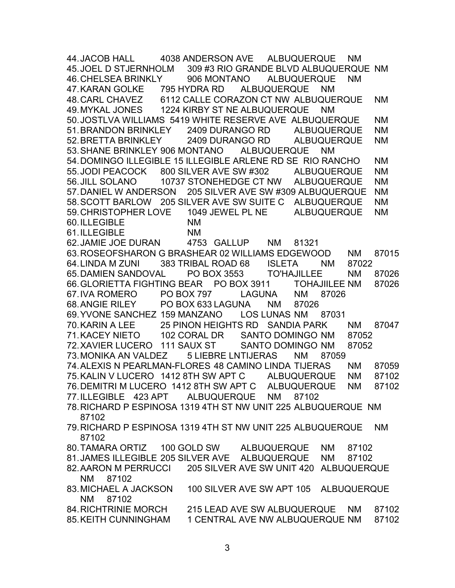44.JACOB HALL 4038 ANDERSON AVE ALBUQUERQUE NM 45.JOEL D STJERNHOLM 309 #3 RIO GRANDE BLVD ALBUQUERQUE NM 46.CHELSEA BRINKLY 906 MONTANO ALBUQUERQUE NM 47.KARAN GOLKE 795 HYDRA RD ALBUQUERQUE NM 48.CARL CHAVEZ 6112 CALLE CORAZON CT NW ALBUQUERQUE NM 49.MYKAL JONES 1224 KIRBY ST NE ALBUQUERQUE NM 50.JOSTLVA WILLIAMS 5419 WHITE RESERVE AVE ALBUQUERQUE NM 51.BRANDON BRINKLEY 2409 DURANGO RD ALBUQUERQUE NM 52.BRETTA BRINKLEY 2409 DURANGO RD ALBUQUERQUE NM 53.SHANE BRINKLEY 906 MONTANO ALBUQUERQUE NM 54.DOMINGO ILLEGIBLE 15 ILLEGIBLE ARLENE RD SE RIO RANCHO NM 55.JODI PEACOCK 800 SILVER AVE SW #302 ALBUQUERQUE NM<br>56.JILL SOLANO 10737 STONEHEDGE CT NW ALBUQUERQUE NM 10737 STONEHEDGE CT NW ALBUQUERQUE NM 57.DANIEL W ANDERSON 205 SILVER AVE SW #309 ALBUQUERQUE NM 58.SCOTT BARLOW 205 SILVER AVE SW SUITE C ALBUQUERQUE NM 59.CHRISTOPHER LOVE 1049 JEWEL PL NE ALBUQUERQUE NM 60.ILLEGIBLE NM 61.ILLEGIBLE NM 62.JAMIE JOE DURAN 4753 GALLUP NM 81321 63.ROSEOFSHARON G BRASHEAR 02 WILLIAMS EDGEWOOD NM 87015 64.LINDA M ZUNI 383 TRIBAL ROAD 68 ISLETA NM 87022 65.DAMIEN SANDOVAL PO BOX 3553 TO'HAJILLEE NM 87026 66.GLORIETTA FIGHTING BEAR PO BOX 3911 TOHAJIILEE NM 87026 67.IVA ROMERO PO BOX 797 LAGUNA NM 87026 68.ANGIE RILEY PO BOX 633 LAGUNA NM 87026 69.YVONE SANCHEZ 159 MANZANO LOS LUNAS NM 87031 70.KARIN A LEE 25 PINON HEIGHTS RD SANDIA PARK NM 87047 71.KACEY NIETO 102 CORAL DR SANTO DOMINGO NM 87052 72.XAVIER LUCERO 111 SAUX ST SANTO DOMINGO NM 87052 73.MONIKA AN VALDEZ 5 LIEBRE LNTIJERAS NM 87059 74.ALEXIS N PEARLMAN-FLORES 48 CAMINO LINDA TIJERAS NM 87059 75.KALIN V LUCERO 1412 8TH SW APT C ALBUQUERQUE NM 87102 76.DEMITRI M LUCERO 1412 8TH SW APT C ALBUQUERQUE NM 87102 77.ILLEGIBLE 423 APT ALBUQUERQUE NM 87102 78.RICHARD P ESPINOSA 1319 4TH ST NW UNIT 225 ALBUQUERQUE NM 87102 79.RICHARD P ESPINOSA 1319 4TH ST NW UNIT 225 ALBUQUERQUE NM 87102 80.TAMARA ORTIZ 100 GOLD SW ALBUQUERQUE NM 87102 81.JAMES ILLEGIBLE 205 SILVER AVE ALBUQUERQUE NM 87102 82.AARON M PERRUCCI 205 SILVER AVE SW UNIT 420 ALBUQUERQUE NM 87102 83.MICHAEL A JACKSON 100 SILVER AVE SW APT 105 ALBUQUERQUE NM 87102 84.RICHTRINIE MORCH 215 LEAD AVE SW ALBUQUERQUE NM 87102 85.KEITH CUNNINGHAM 1 CENTRAL AVE NW ALBUQUERQUE NM 87102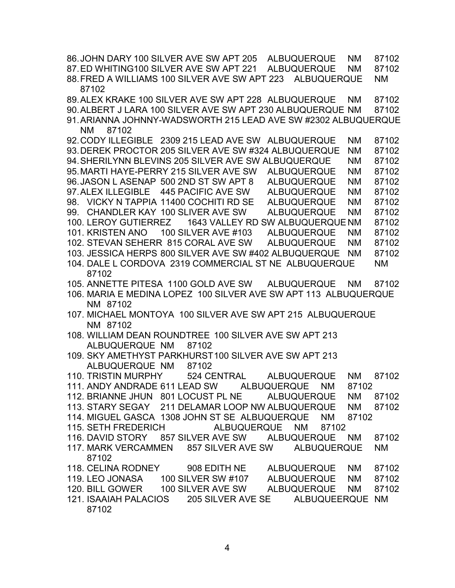86.JOHN DARY 100 SILVER AVE SW APT 205 ALBUQUERQUE NM 87102 87.ED WHITING100 SILVER AVE SW APT 221 ALBUQUERQUE NM 87102 88.FRED A WILLIAMS 100 SILVER AVE SW APT 223 ALBUQUERQUE NM 87102 89.ALEX KRAKE 100 SILVER AVE SW APT 228 ALBUQUERQUE NM 87102 90.ALBERT J LARA 100 SILVER AVE SW APT 230 ALBUQUERQUE NM 87102 91.ARIANNA JOHNNY-WADSWORTH 215 LEAD AVE SW #2302 ALBUQUERQUE NM 87102 92.CODY ILLEGIBLE 2309 215 LEAD AVE SW ALBUQUERQUE NM 87102 93.DEREK PROCTOR 205 SILVER AVE SW #324 ALBUQUERQUE NM 87102 94.SHERILYNN BLEVINS 205 SILVER AVE SW ALBUQUERQUE NM 87102 95.MARTI HAYE-PERRY 215 SILVER AVE SW ALBUQUERQUE NM 87102 96.JASON L ASENAP 500 2ND ST SW APT 8 ALBUQUERQUE NM 87102 97.ALEX ILLEGIBLE 445 PACIFIC AVE SW ALBUQUERQUE NM 87102 98. VICKY N TAPPIA 11400 COCHITI RD SE ALBUQUERQUE NM 87102 99. CHANDLER KAY 100 SLIVER AVE SW ALBUQUERQUE NM 87102 100. LEROY GUTIERREZ 1643 VALLEY RD SW ALBUQUERQUE NM 87102 101. KRISTEN ANO 100 SILVER AVE #103 ALBUQUERQUE NM 87102 102. STEVAN SEHERR 815 CORAL AVE SW ALBUQUERQUE NM 87102 103. JESSICA HERPS 800 SILVER AVE SW #402 ALBUQUERQUE NM 87102 104. DALE L CORDOVA 2319 COMMERCIAL ST NE ALBUQUERQUE NM 87102 105. ANNETTE PITESA 1100 GOLD AVE SW ALBUQUERQUE NM 87102 106. MARIA E MEDINA LOPEZ 100 SILVER AVE SW APT 113 ALBUQUERQUE NM 87102 107. MICHAEL MONTOYA 100 SILVER AVE SW APT 215 ALBUQUERQUE NM 87102 108. WILLIAM DEAN ROUNDTREE 100 SILVER AVE SW APT 213 ALBUQUERQUE NM 87102 109. SKY AMETHYST PARKHURST100 SILVER AVE SW APT 213 ALBUQUERQUE NM 87102 110. TRISTIN MURPHY 524 CENTRAL ALBUQUERQUE NM 87102 111. ANDY ANDRADE 611 LEAD SW ALBUQUERQUE NM 87102 112. BRIANNE JHUN 801 LOCUST PL NE ALBUQUERQUE NM 87102 113. STARY SEGAY 211 DELAMAR LOOP NW ALBUQUERQUE NM 87102 114. MIGUEL GASCA 1308 JOHN ST SE ALBUQUERQUE NM 87102 115. SETH FREDERICH ALBUQUERQUE NM 87102 116. DAVID STORY 857 SILVER AVE SW ALBUQUERQUE NM 87102 117. MARK VERCAMMEN 857 SILVER AVE SW ALBUQUERQUE NM 87102 118. CELINA RODNEY 908 EDITH NE ALBUQUERQUE NM 87102 119. LEO JONASA 100 SILVER SW #107 ALBUQUERQUE NM 87102 120. BILL GOWER 100 SILVER AVE SW ALBUQUERQUE NM 87102 121. ISAAIAH PALACIOS 205 SILVER AVE SE ALBUQUEERQUE NM 87102

4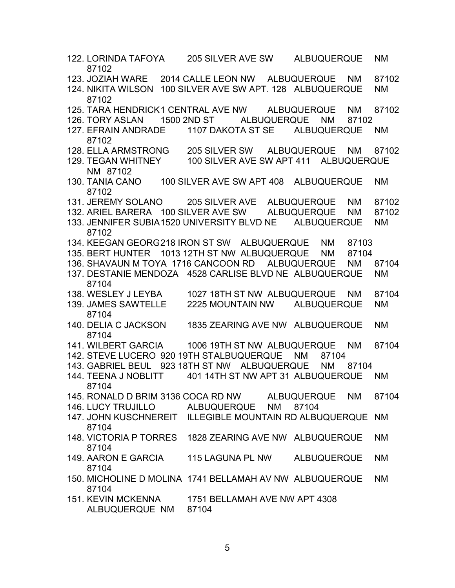| 122. LORINDA TAFOYA<br>87102                                        | 205 SILVER AVE SW                      |  |       | <b>ALBUQUERQUE</b> |           | <b>NM</b> |
|---------------------------------------------------------------------|----------------------------------------|--|-------|--------------------|-----------|-----------|
| 123. JOZIAH WARE                                                    | 2014 CALLE LEON NW ALBUQUERQUE NM      |  |       |                    |           | 87102     |
| <b>124. NIKITA WILSON</b><br>87102                                  | 100 SILVER AVE SW APT, 128 ALBUQUERQUE |  |       |                    |           | <b>NM</b> |
| 125. TARA HENDRICK1 CENTRAL AVE NW ALBUQUERQUE                      |                                        |  |       |                    | <b>NM</b> | 87102     |
| 126. TORY ASLAN                                                     | 1500 2ND ST ALBUQUERQUE                |  |       | <b>NM</b>          | 87102     |           |
| 127. EFRAIN ANDRADE 1107 DAKOTA ST SE ALBUQUERQUE<br>87102          |                                        |  |       |                    |           | <b>NM</b> |
| <b>128. ELLA ARMSTRONG</b>                                          | 205 SILVER SW ALBUQUERQUE NM           |  |       |                    |           | 87102     |
| 129. TEGAN WHITNEY<br>NM 87102                                      | 100 SILVER AVE SW APT 411 ALBUQUERQUE  |  |       |                    |           |           |
| 130. TANIA CANO 100 SILVER AVE SW APT 408<br>87102                  |                                        |  |       | <b>ALBUQUERQUE</b> |           | <b>NM</b> |
| 131. JEREMY SOLANO 205 SILVER AVE ALBUQUERQUE                       |                                        |  |       |                    | <b>NM</b> | 87102     |
| 132. ARIEL BARERA 100 SILVER AVE SW ALBUQUERQUE                     |                                        |  |       |                    | <b>NM</b> | 87102     |
| 133. JENNIFER SUBIA 1520 UNIVERSITY BLVD NE<br>87102                |                                        |  |       | <b>ALBUQUERQUE</b> |           | <b>NM</b> |
| 134. KEEGAN GEORG218 IRON ST SW ALBUQUERQUE                         |                                        |  |       | <b>NM</b>          | 87103     |           |
| 135. BERT HUNTER 1013 12TH ST NW ALBUQUERQUE                        |                                        |  |       | <b>NM</b>          | 87104     |           |
| 136. SHAVAUN M TOYA 1716 CANCOON RD ALBUQUERQUE                     |                                        |  |       |                    | <b>NM</b> | 87104     |
| 137. DESTANIE MENDOZA 4528 CARLISE BLVD NE ALBUQUERQUE<br>87104     |                                        |  |       |                    |           | <b>NM</b> |
| 138. WESLEY J LEYBA                                                 | 1027 18TH ST NW ALBUQUERQUE            |  |       |                    | <b>NM</b> | 87104     |
| 139. JAMES SAWTELLE<br>87104                                        | 2225 MOUNTAIN NW                       |  |       | <b>ALBUQUERQUE</b> |           | <b>NM</b> |
| 140. DELIA C JACKSON<br>87104                                       | 1835 ZEARING AVE NW ALBUQUERQUE        |  |       |                    |           | <b>NM</b> |
| 141. WILBERT GARCIA 1006 19TH ST NW ALBUQUERQUE                     |                                        |  |       |                    | <b>NM</b> | 87104     |
| 142. STEVE LUCERO 920 19TH STALBUQUERQUE NM                         |                                        |  |       | 87104              |           |           |
| 143. GABRIEL BEUL 923 18TH ST NW ALBUQUERQUE                        |                                        |  |       | <b>NM</b>          | 87104     |           |
| 144. TEENA J NOBLITT<br>87104                                       | 401 14TH ST NW APT 31 ALBUQUERQUE      |  |       |                    |           | <b>NM</b> |
| 145. RONALD D BRIM 3136 COCA RD NW ALBUQUERQUE NM                   |                                        |  |       |                    |           | 87104     |
| 146. LUCY TRUJILLO ALBUQUERQUE NM                                   |                                        |  | 87104 |                    |           |           |
| 147. JOHN KUSCHNEREIT ILLEGIBLE MOUNTAIN RD ALBUQUERQUE NM<br>87104 |                                        |  |       |                    |           |           |
| 148. VICTORIA P TORRES<br>87104                                     | 1828 ZEARING AVE NW ALBUQUERQUE        |  |       |                    |           | <b>NM</b> |
| 149. AARON E GARCIA<br>87104                                        | 115 LAGUNA PL NW                       |  |       | <b>ALBUQUERQUE</b> |           | <b>NM</b> |
| 150. MICHOLINE D MOLINA 1741 BELLAMAH AV NW ALBUQUERQUE<br>87104    |                                        |  |       |                    |           | <b>NM</b> |
| 151. KEVIN MCKENNA<br>ALBUQUERQUE NM 87104                          | 1751 BELLAMAH AVE NW APT 4308          |  |       |                    |           |           |

5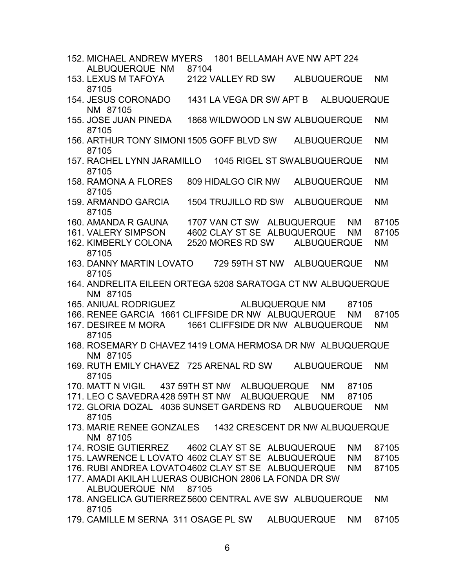| 152. MICHAEL ANDREW MYERS 1801 BELLAMAH AVE NW APT 224                        |       |                                  |                |                    |           |           |
|-------------------------------------------------------------------------------|-------|----------------------------------|----------------|--------------------|-----------|-----------|
| ALBUQUERQUE NM                                                                | 87104 |                                  |                |                    |           |           |
| 153. LEXUS M TAFOYA<br>87105                                                  |       | 2122 VALLEY RD SW                |                | <b>ALBUQUERQUE</b> |           | <b>NM</b> |
| <b>154. JESUS CORONADO</b><br>NM 87105                                        |       | 1431 LA VEGA DR SW APT B         |                | <b>ALBUQUERQUE</b> |           |           |
| 155. JOSE JUAN PINEDA                                                         |       | 1868 WILDWOOD LN SW ALBUQUERQUE  |                |                    |           | <b>NM</b> |
| 87105<br>156. ARTHUR TONY SIMONI 1505 GOFF BLVD SW                            |       |                                  |                | <b>ALBUQUERQUE</b> |           | <b>NM</b> |
| 87105<br>157. RACHEL LYNN JARAMILLO 1045 RIGEL ST SWALBUQUERQUE               |       |                                  |                |                    |           | <b>NM</b> |
| 87105                                                                         |       |                                  |                |                    |           |           |
| 158. RAMONA A FLORES<br>87105                                                 |       | 809 HIDALGO CIR NW               |                | <b>ALBUQUERQUE</b> |           | <b>NM</b> |
| 159. ARMANDO GARCIA<br>87105                                                  |       | <b>1504 TRUJILLO RD SW</b>       |                | <b>ALBUQUERQUE</b> |           | <b>NM</b> |
| 160. AMANDA R GAUNA                                                           |       | 1707 VAN CT SW ALBUQUERQUE       |                |                    | <b>NM</b> | 87105     |
| <b>161. VALERY SIMPSON</b>                                                    |       | 4602 CLAY ST SE ALBUQUERQUE      |                |                    | <b>NM</b> | 87105     |
| 162. KIMBERLY COLONA                                                          |       | 2520 MORES RD SW                 |                | <b>ALBUQUERQUE</b> |           | <b>NM</b> |
| 87105<br>163. DANNY MARTIN LOVATO                                             |       | 729 59TH ST NW                   |                | <b>ALBUQUERQUE</b> |           | <b>NM</b> |
| 87105                                                                         |       |                                  |                |                    |           |           |
| 164. ANDRELITA EILEEN ORTEGA 5208 SARATOGA CT NW ALBUQUERQUE<br>NM 87105      |       |                                  |                |                    |           |           |
| 165. ANIUAL RODRIGUEZ                                                         |       |                                  | ALBUQUERQUE NM |                    | 87105     |           |
| 166. RENEE GARCIA 1661 CLIFFSIDE DR NW ALBUQUERQUE                            |       |                                  |                |                    | <b>NM</b> | 87105     |
| 167. DESIREE M MORA<br>87105                                                  |       | 1661 CLIFFSIDE DR NW ALBUQUERQUE |                |                    |           | <b>NM</b> |
| 168. ROSEMARY D CHAVEZ 1419 LOMA HERMOSA DR NW ALBUQUERQUE                    |       |                                  |                |                    |           |           |
| NM 87105                                                                      |       |                                  |                |                    |           |           |
| 169. RUTH EMILY CHAVEZ 725 ARENAL RD SW<br>87105                              |       |                                  |                | <b>ALBUQUERQUE</b> |           | <b>NM</b> |
| 170. MATT N VIGIL                                                             |       | 437 59TH ST NW ALBUQUERQUE       |                | NM -               | 87105     |           |
| 171. LEO C SAVEDRA 428 59TH ST NW ALBUQUERQUE NM 87105                        |       |                                  |                |                    |           |           |
| 172. GLORIA DOZAL 4036 SUNSET GARDENS RD ALBUQUERQUE NM<br>87105              |       |                                  |                |                    |           |           |
| 173. MARIE RENEE GONZALES 1432 CRESCENT DR NW ALBUQUERQUE                     |       |                                  |                |                    |           |           |
| NM 87105                                                                      |       |                                  |                |                    |           |           |
| 174. ROSIE GUTIERREZ 4602 CLAY ST SE ALBUQUERQUE NM                           |       |                                  |                |                    |           | 87105     |
| 175. LAWRENCE L LOVATO 4602 CLAY ST SE ALBUQUERQUE NM 87105                   |       |                                  |                |                    |           |           |
| 176. RUBI ANDREA LOVATO4602 CLAY ST SE ALBUQUERQUE NM 87105                   |       |                                  |                |                    |           |           |
| 177. AMADI AKILAH LUERAS OUBICHON 2806 LA FONDA DR SW<br>ALBUQUERQUE NM 87105 |       |                                  |                |                    |           |           |
| 178. ANGELICA GUTIERREZ 5600 CENTRAL AVE SW ALBUQUERQUE                       |       |                                  |                |                    |           | <b>NM</b> |
| 87105                                                                         |       |                                  |                |                    |           |           |
| OFBUA 044 OOA OF BLOWL ALBUQUEBOUR AIM, 07405                                 |       |                                  |                |                    |           |           |

179. CAMILLE M SERNA 311 OSAGE PL SW ALBUQUERQUE NM 87105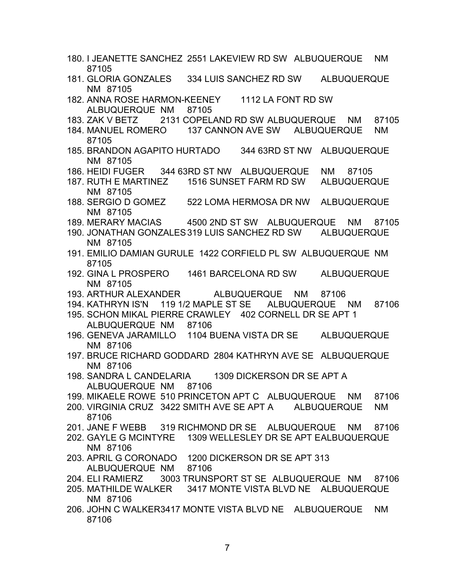- 180. I JEANETTE SANCHEZ 2551 LAKEVIEW RD SW ALBUQUERQUE NM 87105
- 181. GLORIA GONZALES 334 LUIS SANCHEZ RD SW ALBUQUERQUE NM 87105
- 182. ANNA ROSE HARMON-KEENEY 1112 LA FONT RD SW ALBUQUERQUE NM 87105
- 183. ZAK V BETZ 2131 COPELAND RD SW ALBUQUERQUE NM 87105
- 184. MANUEL ROMERO 137 CANNON AVE SW ALBUQUERQUE NM 87105
- 185. BRANDON AGAPITO HURTADO 344 63RD ST NW ALBUQUERQUE NM 87105
- 186. HEIDI FUGER 344 63RD ST NW ALBUQUERQUE NM 87105
- 187. RUTH E MARTINEZ 1516 SUNSET FARM RD SW ALBUQUERQUE NM 87105
- 188. SERGIO D GOMEZ 522 LOMA HERMOSA DR NW ALBUQUERQUE NM 87105
- 189. MERARY MACIAS 4500 2ND ST SW ALBUQUERQUE NM 87105
- 190. JONATHAN GONZALES319 LUIS SANCHEZ RD SW ALBUQUERQUE NM 87105
- 191. EMILIO DAMIAN GURULE 1422 CORFIELD PL SW ALBUQUERQUE NM 87105
- 192. GINA L PROSPERO 1461 BARCELONA RD SW ALBUQUERQUE NM 87105
- 193. ARTHUR ALEXANDER ALBUQUERQUE NM 87106
- 194. KATHRYN IS'N 119 1/2 MAPLE ST SE ALBUQUERQUE NM 87106
- 195. SCHON MIKAL PIERRE CRAWLEY 402 CORNELL DR SE APT 1 ALBUQUERQUE NM 87106
- 196. GENEVA JARAMILLO 1104 BUENA VISTA DR SE ALBUQUERQUE NM 87106
- 197. BRUCE RICHARD GODDARD 2804 KATHRYN AVE SE ALBUQUERQUE NM 87106
- 198. SANDRA L CANDELARIA 1309 DICKERSON DR SE APT A ALBUQUERQUE NM 87106
- 199. MIKAELE ROWE 510 PRINCETON APT C ALBUQUERQUE NM 87106
- 200. VIRGINIA CRUZ 3422 SMITH AVE SE APT A ALBUQUERQUE NM 87106
- 201. JANE F WEBB 319 RICHMOND DR SE ALBUQUERQUE NM 87106
- 202. GAYLE G MCINTYRE 1309 WELLESLEY DR SE APT EALBUQUERQUE NM 87106
- 203. APRIL G CORONADO 1200 DICKERSON DR SE APT 313 ALBUQUERQUE NM 87106
- 204. ELI RAMIERZ 3003 TRUNSPORT ST SE ALBUQUERQUE NM 87106
- 205. MATHILDE WALKER 3417 MONTE VISTA BLVD NE ALBUQUERQUE NM 87106
- 206. JOHN C WALKER3417 MONTE VISTA BLVD NE ALBUQUERQUE NM 87106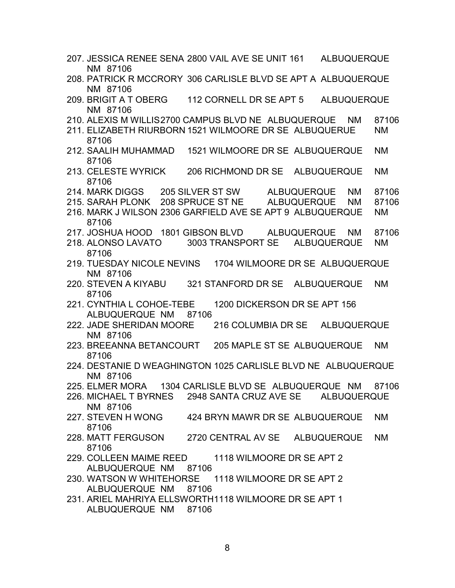- 207. JESSICA RENEE SENA 2800 VAIL AVE SE UNIT 161 ALBUQUERQUE NM 87106
- 208. PATRICK R MCCRORY 306 CARLISLE BLVD SE APT A ALBUQUERQUE NM 87106
- 209. BRIGIT A T OBERG 112 CORNELL DR SE APT 5 ALBUQUERQUE NM 87106
- 210. ALEXIS M WILLIS2700 CAMPUS BLVD NE ALBUQUERQUE NM 87106
- 211. ELIZABETH RIURBORN 1521 WILMOORE DR SE ALBUQUERUE NM 87106
- 212. SAALIH MUHAMMAD 1521 WILMOORE DR SE ALBUQUERQUE NM 87106
- 213. CELESTE WYRICK 206 RICHMOND DR SE ALBUQUERQUE NM 87106
- 214. MARK DIGGS 205 SILVER ST SW ALBUQUERQUE NM 87106
- 215. SARAH PLONK 208 SPRUCE ST NE ALBUQUERQUE NM 87106
- 216. MARK J WILSON 2306 GARFIELD AVE SE APT 9 ALBUQUERQUE NM 87106
- 217. JOSHUA HOOD 1801 GIBSON BLVD ALBUQUERQUE NM 87106
- 218. ALONSO LAVATO 3003 TRANSPORT SE ALBUQUERQUE NM 87106
- 219. TUESDAY NICOLE NEVINS 1704 WILMOORE DR SE ALBUQUERQUE NM 87106
- 220. STEVEN A KIYABU 321 STANFORD DR SE ALBUQUERQUE NM 87106
- 221. CYNTHIA L COHOE-TEBE 1200 DICKERSON DR SE APT 156 ALBUQUERQUE NM 87106
- 222. JADE SHERIDAN MOORE 216 COLUMBIA DR SE ALBUQUERQUE NM 87106
- 223. BREEANNA BETANCOURT 205 MAPLE ST SE ALBUQUERQUE NM 87106
- 224. DESTANIE D WEAGHINGTON 1025 CARLISLE BLVD NE ALBUQUERQUE NM 87106
- 225. ELMER MORA 1304 CARLISLE BLVD SE ALBUQUERQUE NM 87106
- 226. MICHAEL T BYRNES 2948 SANTA CRUZ AVE SE ALBUQUERQUE NM 87106
- 227. STEVEN H WONG 424 BRYN MAWR DR SE ALBUQUERQUE NM 87106
- 228. MATT FERGUSON 2720 CENTRAL AV SE ALBUQUERQUE NM 87106
- 229. COLLEEN MAIME REED 1118 WILMOORE DR SE APT 2 ALBUQUERQUE NM 87106
- 230. WATSON W WHITEHORSE 1118 WILMOORE DR SE APT 2 ALBUQUERQUE NM 87106
- 231. ARIEL MAHRIYA ELLSWORTH1118 WILMOORE DR SE APT 1 ALBUQUERQUE NM 87106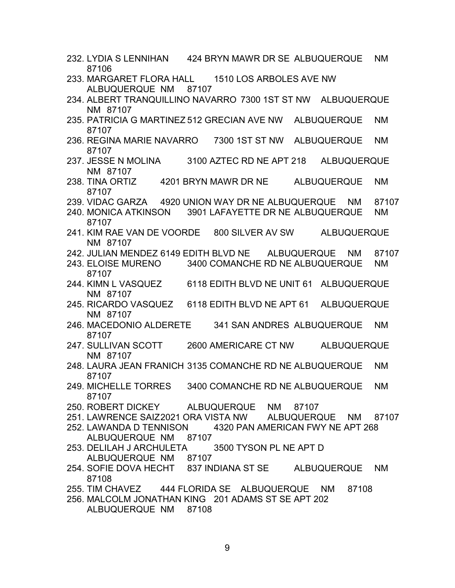- 232. LYDIA S LENNIHAN 424 BRYN MAWR DR SE ALBUQUERQUE NM 87106
- 233. MARGARET FLORA HALL 1510 LOS ARBOLES AVE NW ALBUQUERQUE NM 87107
- 234. ALBERT TRANQUILLINO NAVARRO 7300 1ST ST NW ALBUQUERQUE NM 87107
- 235. PATRICIA G MARTINEZ 512 GRECIAN AVE NW ALBUQUERQUE NM 87107
- 236. REGINA MARIE NAVARRO 7300 1ST ST NW ALBUQUERQUE NM 87107
- 237. JESSE N MOLINA 3100 AZTEC RD NE APT 218 ALBUQUERQUE NM 87107
- 238. TINA ORTIZ 4201 BRYN MAWR DR NE ALBUQUERQUE NM 87107
- 239. VIDAC GARZA 4920 UNION WAY DR NE ALBUQUERQUE NM 87107
- 240. MONICA ATKINSON 3901 LAFAYETTE DR NE ALBUQUERQUE NM 87107
- 241. KIM RAE VAN DE VOORDE 800 SILVER AV SW ALBUQUERQUE NM 87107
- 242. JULIAN MENDEZ 6149 EDITH BLVD NE ALBUQUERQUE NM 87107
- 243. ELOISE MURENO 3400 COMANCHE RD NE ALBUQUERQUE NM 87107
- 244. KIMN L VASQUEZ 6118 EDITH BLVD NE UNIT 61 ALBUQUERQUE NM 87107
- 245. RICARDO VASQUEZ 6118 EDITH BLVD NE APT 61 ALBUQUERQUE NM 87107
- 246. MACEDONIO ALDERETE 341 SAN ANDRES ALBUQUERQUE NM 87107
- 247. SULLIVAN SCOTT 2600 AMERICARE CT NW ALBUQUERQUE NM 87107
- 248. LAURA JEAN FRANICH 3135 COMANCHE RD NE ALBUQUERQUE NM 87107
- 249. MICHELLE TORRES 3400 COMANCHE RD NE ALBUQUERQUE NM 87107
- 250. ROBERT DICKEY ALBUQUERQUE NM 87107
- 251. LAWRENCE SAIZ2021 ORA VISTA NW ALBUQUERQUE NM 87107
- 252. LAWANDA D TENNISON 4320 PAN AMERICAN FWY NE APT 268 ALBUQUERQUE NM 87107
- 253. DELILAH J ARCHULETA 3500 TYSON PL NE APT D ALBUQUERQUE NM 87107
- 254. SOFIE DOVA HECHT 837 INDIANA ST SE ALBUQUERQUE NM 87108
- 255. TIM CHAVEZ 444 FLORIDA SE ALBUQUERQUE NM 87108
- 256. MALCOLM JONATHAN KING 201 ADAMS ST SE APT 202 ALBUQUERQUE NM 87108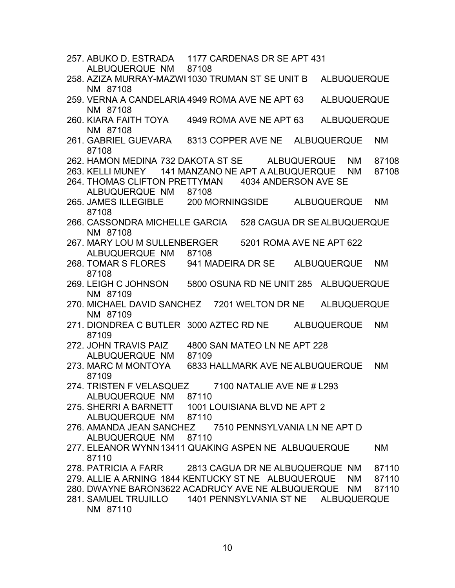- 257. ABUKO D. ESTRADA 1177 CARDENAS DR SE APT 431 ALBUQUERQUE NM 87108
- 258. AZIZA MURRAY-MAZWI1030 TRUMAN ST SE UNIT B ALBUQUERQUE NM 87108
- 259. VERNA A CANDELARIA 4949 ROMA AVE NE APT 63 ALBUQUERQUE NM 87108
- 260. KIARA FAITH TOYA 4949 ROMA AVE NE APT 63 ALBUQUERQUE NM 87108
- 261. GABRIEL GUEVARA 8313 COPPER AVE NE ALBUQUERQUE NM 87108
- 262. HAMON MEDINA 732 DAKOTA ST SE ALBUQUERQUE NM 87108
- 263. KELLI MUNEY 141 MANZANO NE APT A ALBUQUERQUE NM 87108
- 264. THOMAS CLIFTON PRETTYMAN 4034 ANDERSON AVE SE ALBUQUERQUE NM 87108
- 265. JAMES ILLEGIBLE 200 MORNINGSIDE ALBUQUERQUE NM 87108
- 266. CASSONDRA MICHELLE GARCIA 528 CAGUA DR SEALBUQUERQUE NM 87108
- 267. MARY LOU M SULLENBERGER 5201 ROMA AVE NE APT 622 ALBUQUERQUE NM 87108
- 268. TOMAR S FLORES 941 MADEIRA DR SE ALBUQUERQUE NM 87108
- 269. LEIGH C JOHNSON 5800 OSUNA RD NE UNIT 285 ALBUQUERQUE NM 87109
- 270. MICHAEL DAVID SANCHEZ 7201 WELTON DR NE ALBUQUERQUE NM 87109
- 271. DIONDREA C BUTLER 3000 AZTEC RD NE ALBUQUERQUE NM 87109
- 272. JOHN TRAVIS PAIZ 4800 SAN MATEO LN NE APT 228 ALBUQUERQUE NM 87109
- 273. MARC M MONTOYA 6833 HALLMARK AVE NEALBUQUERQUE NM 87109
- 274. TRISTEN F VELASQUEZ 7100 NATALIE AVE NE # L293 ALBUQUERQUE NM 87110
- 275. SHERRI A BARNETT 1001 LOUISIANA BLVD NE APT 2 ALBUQUERQUE NM 87110
- 276. AMANDA JEAN SANCHEZ 7510 PENNSYLVANIA LN NE APT D ALBUQUERQUE NM 87110
- 277. ELEANOR WYNN13411 QUAKING ASPEN NE ALBUQUERQUE NM 87110
- 278. PATRICIA A FARR 2813 CAGUA DR NE ALBUQUERQUE NM 87110
- 279. ALLIE A ARNING 1844 KENTUCKY ST NE ALBUQUERQUE NM 87110
- 280. DWAYNE BARON3622 ACADRUCY AVE NE ALBUQUERQUE NM 87110
- 281. SAMUEL TRUJILLO 1401 PENNSYLVANIA ST NE ALBUQUERQUE NM 87110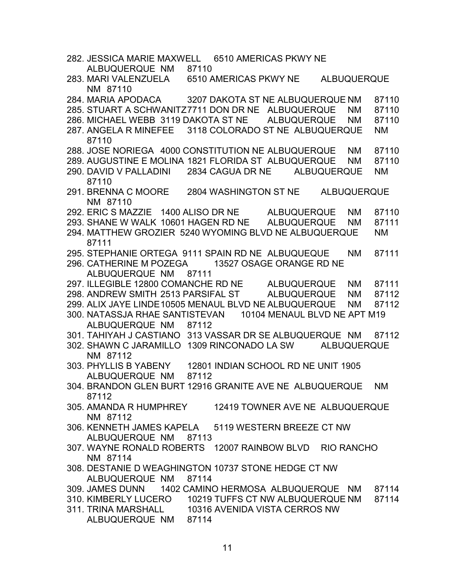| 282. JESSICA MARIE MAXWELL 6510 AMERICAS PKWY NE            |       |  |  |                    |           |
|-------------------------------------------------------------|-------|--|--|--------------------|-----------|
| ALBUQUERQUE NM 87110                                        |       |  |  |                    |           |
| 283. MARI VALENZUELA 6510 AMERICAS PKWY NE                  |       |  |  | <b>ALBUQUERQUE</b> |           |
| NM 87110                                                    |       |  |  |                    |           |
| 284. MARIA APODACA 3207 DAKOTA ST NE ALBUQUERQUE NM         |       |  |  |                    | 87110     |
| 285. STUART A SCHWANITZ7711 DON DR NE ALBUQUERQUE           |       |  |  | <b>NM</b>          | 87110     |
| 286. MICHAEL WEBB 3119 DAKOTA ST NE ALBUQUERQUE             |       |  |  | <b>NM</b>          | 87110     |
| 287. ANGELA R MINEFEE 3118 COLORADO ST NE ALBUQUERQUE       |       |  |  |                    | <b>NM</b> |
| 87110                                                       |       |  |  |                    |           |
|                                                             |       |  |  |                    |           |
| 288. JOSE NORIEGA 4000 CONSTITUTION NE ALBUQUERQUE          |       |  |  | <b>NM</b>          | 87110     |
| 289. AUGUSTINE E MOLINA 1821 FLORIDA ST ALBUQUERQUE         |       |  |  | <b>NM</b>          | 87110     |
| 290. DAVID V PALLADINI 2834 CAGUA DR NE ALBUQUERQUE         |       |  |  |                    | <b>NM</b> |
| 87110                                                       |       |  |  |                    |           |
| 291. BRENNA C MOORE 2804 WASHINGTON ST NE                   |       |  |  | <b>ALBUQUERQUE</b> |           |
| NM 87110                                                    |       |  |  |                    |           |
| 292. ERIC S MAZZIE 1400 ALISO DR NE ALBUQUERQUE             |       |  |  | <b>NM</b>          | 87110     |
| 293. SHANE W WALK 10601 HAGEN RD NE ALBUQUERQUE             |       |  |  | <b>NM</b>          | 87111     |
| 294. MATTHEW GROZIER 5240 WYOMING BLVD NE ALBUQUERQUE       |       |  |  |                    | <b>NM</b> |
| 87111                                                       |       |  |  |                    |           |
| 295. STEPHANIE ORTEGA 9111 SPAIN RD NE ALBUQUEQUE           |       |  |  | <b>NM</b>          | 87111     |
| 296. CATHERINE M POZEGA 13527 OSAGE ORANGE RD NE            |       |  |  |                    |           |
| ALBUQUERQUE NM 87111                                        |       |  |  |                    |           |
| 297. ILLEGIBLE 12800 COMANCHE RD NE ALBUQUERQUE             |       |  |  | <b>NM</b>          | 87111     |
| 298. ANDREW SMITH 2513 PARSIFAL ST ALBUQUERQUE              |       |  |  |                    |           |
|                                                             |       |  |  | <b>NM</b>          | 87112     |
| 299. ALIX JAYE LINDE 10505 MENAUL BLVD NE ALBUQUERQUE       |       |  |  | <b>NM</b>          | 87112     |
| 300. NATASSJA RHAE SANTISTEVAN 10104 MENAUL BLVD NE APT M19 |       |  |  |                    |           |
| ALBUQUERQUE NM 87112                                        |       |  |  |                    |           |
| 301. TAHIYAH J CASTIANO 313 VASSAR DR SE ALBUQUERQUE NM     |       |  |  |                    | 87112     |
| 302. SHAWN C JARAMILLO 1309 RINCONADO LA SW ALBUQUERQUE     |       |  |  |                    |           |
| NM 87112                                                    |       |  |  |                    |           |
| 303. PHYLLIS B YABENY 12801 INDIAN SCHOOL RD NE UNIT 1905   |       |  |  |                    |           |
| ALBUQUERQUE NM                                              | 87112 |  |  |                    |           |
| 304. BRANDON GLEN BURT 12916 GRANITE AVE NE ALBUQUERQUE     |       |  |  |                    | <b>NM</b> |
| 87112                                                       |       |  |  |                    |           |
| 305. AMANDA R HUMPHREY 12419 TOWNER AVE NE ALBUQUERQUE      |       |  |  |                    |           |
| NM 87112                                                    |       |  |  |                    |           |
| 306. KENNETH JAMES KAPELA 5119 WESTERN BREEZE CT NW         |       |  |  |                    |           |
| ALBUQUERQUE NM 87113                                        |       |  |  |                    |           |
| 307. WAYNE RONALD ROBERTS 12007 RAINBOW BLVD RIO RANCHO     |       |  |  |                    |           |
|                                                             |       |  |  |                    |           |
| NM 87114                                                    |       |  |  |                    |           |
| 308. DESTANIE D WEAGHINGTON 10737 STONE HEDGE CT NW         |       |  |  |                    |           |
| ALBUQUERQUE NM 87114                                        |       |  |  |                    |           |
| 309. JAMES DUNN 1402 CAMINO HERMOSA ALBUQUERQUE NM 87114    |       |  |  |                    |           |
| 310. KIMBERLY LUCERO 10219 TUFFS CT NW ALBUQUERQUE NM       |       |  |  |                    | 87114     |
| 311. TRINA MARSHALL 10316 AVENIDA VISTA CERROS NW           |       |  |  |                    |           |
| ALBUQUERQUE NM 87114                                        |       |  |  |                    |           |
|                                                             |       |  |  |                    |           |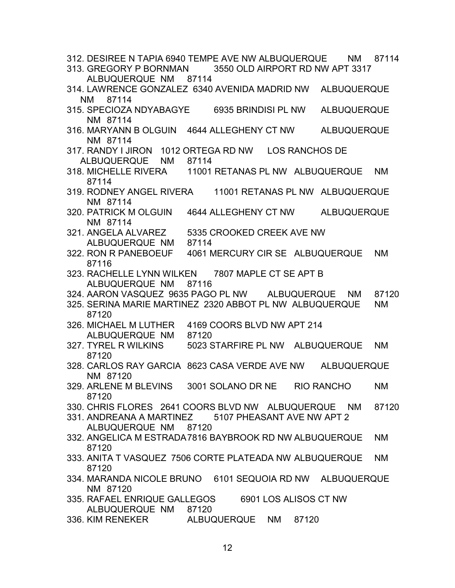- 312. DESIREE N TAPIA 6940 TEMPE AVE NW ALBUQUERQUE NM 87114
- 313. GREGORY P BORNMAN 3550 OLD AIRPORT RD NW APT 3317 ALBUQUERQUE NM 87114
- 314. LAWRENCE GONZALEZ 6340 AVENIDA MADRID NW ALBUQUERQUE NM 87114
- 315. SPECIOZA NDYABAGYE 6935 BRINDISI PL NW ALBUQUERQUE NM 87114
- 316. MARYANN B OLGUIN 4644 ALLEGHENY CT NW ALBUQUERQUE NM 87114
- 317. RANDY I JIRON 1012 ORTEGA RD NW LOS RANCHOS DE
- ALBUQUERQUE NM 87114<br>318. MICHELLE RIVERA 11001 11001 RETANAS PL NW ALBUQUERQUE NM 87114
- 319. RODNEY ANGEL RIVERA 11001 RETANAS PL NW ALBUQUERQUE NM 87114
- 320. PATRICK M OLGUIN 4644 ALLEGHENY CT NW ALBUQUERQUE NM 87114
- 321. ANGELA ALVAREZ 5335 CROOKED CREEK AVE NW
	- ALBUQUERQUE NM 87114
- 322. RON R PANEBOEUF 4061 MERCURY CIR SE ALBUQUERQUE NM 87116
- 323. RACHELLE LYNN WILKEN 7807 MAPLE CT SE APT B ALBUQUERQUE NM 87116
- 324. AARON VASQUEZ 9635 PAGO PL NW ALBUQUERQUE NM 87120
- 325. SERINA MARIE MARTINEZ 2320 ABBOT PL NW ALBUQUERQUE NM 87120
- 326. MICHAEL M LUTHER 4169 COORS BLVD NW APT 214 ALBUQUERQUE NM 87120
- 327. TYREL R WILKINS 5023 STARFIRE PL NW ALBUQUERQUE NM 87120
- 328. CARLOS RAY GARCIA 8623 CASA VERDE AVE NW ALBUQUERQUE NM 87120
- 329. ARLENE M BLEVINS 3001 SOLANO DR NE RIO RANCHO NM 87120
- 330. CHRIS FLORES 2641 COORS BLVD NW ALBUQUERQUE NM 87120
- 331. ANDREANA A MARTINEZ 5107 PHEASANT AVE NW APT 2 ALBUQUERQUE NM 87120
- 332. ANGELICA M ESTRADA7816 BAYBROOK RD NW ALBUQUERQUE NM 87120
- 333. ANITA T VASQUEZ 7506 CORTE PLATEADA NW ALBUQUERQUE NM 87120
- 334. MARANDA NICOLE BRUNO 6101 SEQUOIA RD NW ALBUQUERQUE NM 87120
- 335. RAFAEL ENRIQUE GALLEGOS 6901 LOS ALISOS CT NW ALBUQUERQUE NM 87120
- 336. KIM RENEKER ALBUQUERQUE NM 87120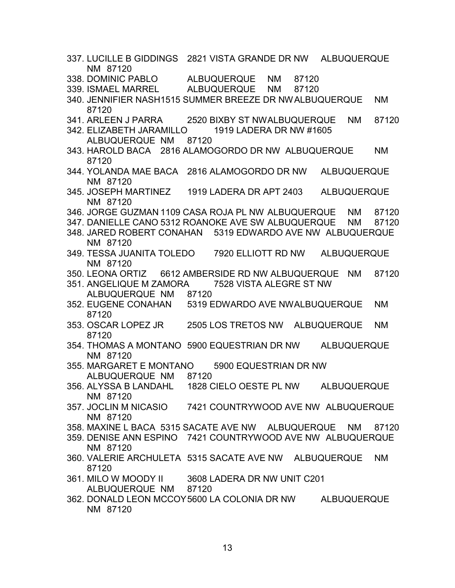- 337. LUCILLE B GIDDINGS 2821 VISTA GRANDE DR NW ALBUQUERQUE NM 87120
- 338. DOMINIC PABLO ALBUQUERQUE NM 87120
- 339. ISMAEL MARREL ALBUQUERQUE NM 87120
- 340. JENNIFIER NASH1515 SUMMER BREEZE DR NWALBUQUERQUE NM 87120
- 341. ARLEEN J PARRA 2520 BIXBY ST NWALBUQUERQUE NM 87120
- 342. ELIZABETH JARAMILLO 1919 LADERA DR NW #1605 ALBUQUERQUE NM 87120
- 343. HAROLD BACA 2816 ALAMOGORDO DR NW ALBUQUERQUE NM 87120
- 344. YOLANDA MAE BACA 2816 ALAMOGORDO DR NW ALBUQUERQUE NM 87120
- 345. JOSEPH MARTINEZ 1919 LADERA DR APT 2403 ALBUQUERQUE NM 87120
- 346. JORGE GUZMAN 1109 CASA ROJA PL NW ALBUQUERQUE NM 87120
- 347. DANIELLE CANO 5312 ROANOKE AVE SW ALBUQUERQUE NM 87120
- 348. JARED ROBERT CONAHAN 5319 EDWARDO AVE NW ALBUQUERQUE NM 87120
- 349. TESSA JUANITA TOLEDO 7920 ELLIOTT RD NW ALBUQUERQUE NM 87120
- 350. LEONA ORTIZ 6612 AMBERSIDE RD NW ALBUQUERQUE NM 87120
- 351. ANGELIQUE M ZAMORA 7528 VISTA ALEGRE ST NW ALBUQUERQUE NM 87120
- 352. EUGENE CONAHAN 5319 EDWARDO AVE NWALBUQUERQUE NM 87120
- 353. OSCAR LOPEZ JR 2505 LOS TRETOS NW ALBUQUERQUE NM 87120
- 354. THOMAS A MONTANO 5900 EQUESTRIAN DR NW ALBUQUERQUE NM 87120
- 355. MARGARET E MONTANO 5900 EQUESTRIAN DR NW ALBUQUERQUE NM 87120
- 356. ALYSSA B LANDAHL 1828 CIELO OESTE PL NW ALBUQUERQUE NM 87120
- 357. JOCLIN M NICASIO 7421 COUNTRYWOOD AVE NW ALBUQUERQUE NM 87120
- 358. MAXINE L BACA 5315 SACATE AVE NW ALBUQUERQUE NM 87120
- 359. DENISE ANN ESPINO 7421 COUNTRYWOOD AVE NW ALBUQUERQUE NM 87120
- 360. VALERIE ARCHULETA 5315 SACATE AVE NW ALBUQUERQUE NM 87120
- 361. MILO W MOODY II 3608 LADERA DR NW UNIT C201 ALBUQUERQUE NM 87120
- 362. DONALD LEON MCCOY5600 LA COLONIA DR NW ALBUQUERQUE NM 87120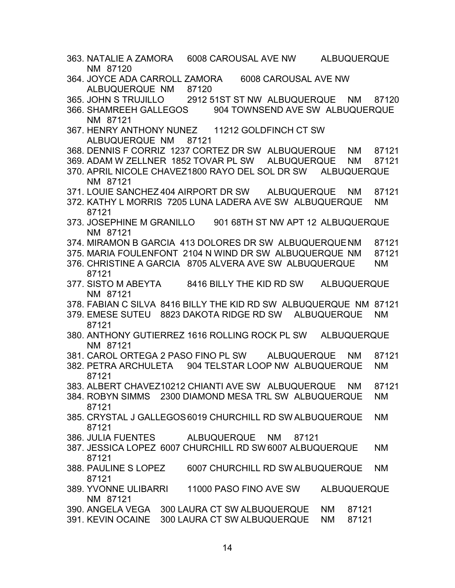- 363. NATALIE A ZAMORA 6008 CAROUSAL AVE NW ALBUQUERQUE NM 87120
- 364. JOYCE ADA CARROLL ZAMORA 6008 CAROUSAL AVE NW ALBUQUERQUE NM 87120
- 365. JOHN S TRUJILLO 2912 51ST ST NW ALBUQUERQUE NM 87120
- 366. SHAMREEH GALLEGOS 904 TOWNSEND AVE SW ALBUQUERQUE NM 87121
- 367. HENRY ANTHONY NUNEZ 11212 GOLDFINCH CT SW ALBUQUERQUE NM 87121
- 368. DENNIS F CORRIZ 1237 CORTEZ DR SW ALBUQUERQUE NM 87121
- 369. ADAM W ZELLNER 1852 TOVAR PL SW ALBUQUERQUE NM 87121
- 370. APRIL NICOLE CHAVEZ1800 RAYO DEL SOL DR SW ALBUQUERQUE NM 87121
- 371. LOUIE SANCHEZ 404 AIRPORT DR SW ALBUQUERQUE NM 87121
- 372. KATHY L MORRIS 7205 LUNA LADERA AVE SW ALBUQUERQUE NM 87121
- 373. JOSEPHINE M GRANILLO 901 68TH ST NW APT 12 ALBUQUERQUE NM 87121
- 374. MIRAMON B GARCIA 413 DOLORES DR SW ALBUQUERQUENM 87121
- 375. MARIA FOULENFONT 2104 N WIND DR SW ALBUQUERQUE NM 87121
- 376. CHRISTINE A GARCIA 8705 ALVERA AVE SW ALBUQUERQUE NM 87121
- 377. SISTO M ABEYTA 8416 BILLY THE KID RD SW ALBUQUERQUE NM 87121
- 378. FABIAN C SILVA 8416 BILLY THE KID RD SW ALBUQUERQUE NM 87121
- 379. EMESE SUTEU 8823 DAKOTA RIDGE RD SW ALBUQUERQUE NM 87121
- 380. ANTHONY GUTIERREZ 1616 ROLLING ROCK PL SW ALBUQUERQUE NM 87121
- 381. CAROL ORTEGA 2 PASO FINO PL SW ALBUQUERQUE NM 87121
- 382. PETRA ARCHULETA 904 TELSTAR LOOP NW ALBUQUERQUE NM 87121
- 383. ALBERT CHAVEZ10212 CHIANTI AVE SW ALBUQUERQUE NM 87121
- 384. ROBYN SIMMS 2300 DIAMOND MESA TRL SW ALBUQUERQUE NM 87121
- 385. CRYSTAL J GALLEGOS6019 CHURCHILL RD SW ALBUQUERQUE NM 87121
- 386. JULIA FUENTES ALBUQUERQUE NM 87121
- 387. JESSICA LOPEZ 6007 CHURCHILL RD SW 6007 ALBUQUERQUE NM 87121
- 388. PAULINE S LOPEZ 6007 CHURCHILL RD SW ALBUQUERQUE NM 87121
- 389. YVONNE ULIBARRI 11000 PASO FINO AVE SW ALBUQUERQUE NM 87121
- 390. ANGELA VEGA 300 LAURA CT SW ALBUQUERQUE NM 87121
- 391. KEVIN OCAINE 300 LAURA CT SW ALBUQUERQUE NM 87121